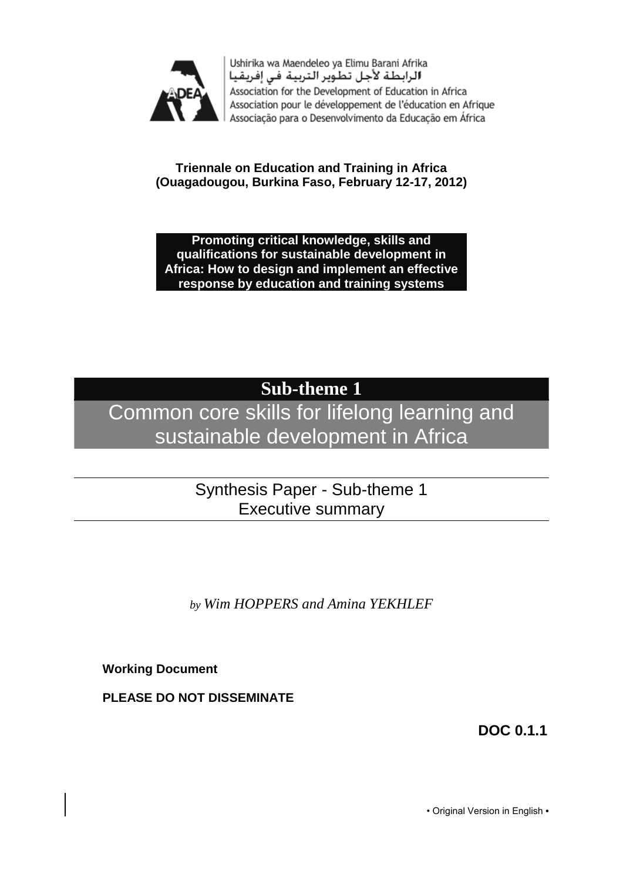

Ushirika wa Maendeleo ya Elimu Barani Afrika الرابطة لأجل تطوير التربية فى إفريقيا Association for the Development of Education in Africa Association pour le développement de l'éducation en Afrique Associação para o Desenvolvimento da Educação em África

**Triennale on Education and Training in Africa (Ouagadougou, Burkina Faso, February 12-17, 2012)**

**Promoting critical knowledge, skills and qualifications for sustainable development in Africa: How to design and implement an effective response by education and training systems**

# **Sub-theme 1**

# Common core skills for lifelong learning and sustainable development in Africa

### Synthesis Paper - Sub-theme 1 Executive summary

*by Wim HOPPERS and Amina YEKHLEF*

**Working Document**

**PLEASE DO NOT DISSEMINATE**

**DOC 0.1.1**

• Original Version in English **•**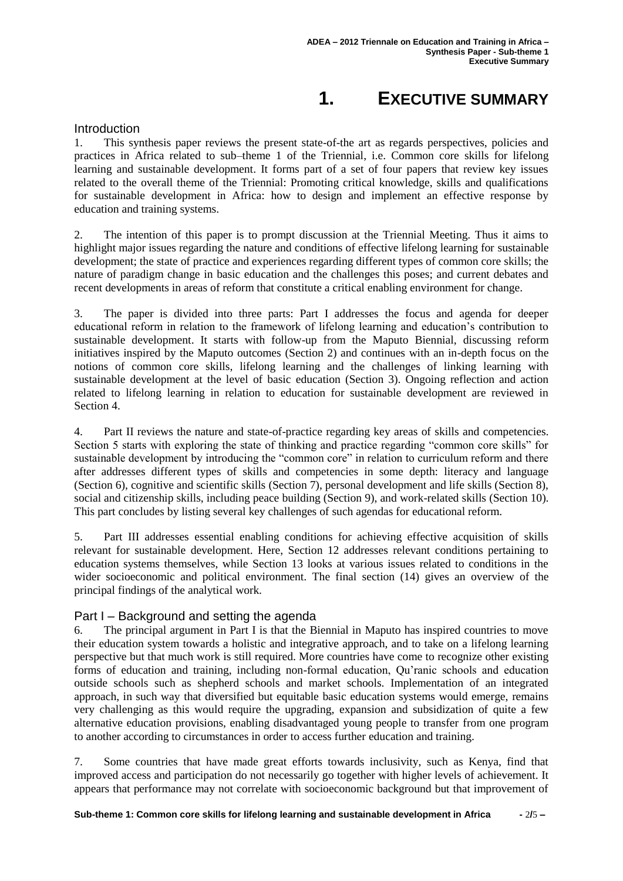## **1. EXECUTIVE SUMMARY**

#### **Introduction**

1. This synthesis paper reviews the present state-of-the art as regards perspectives, policies and practices in Africa related to sub–theme 1 of the Triennial, i.e. Common core skills for lifelong learning and sustainable development. It forms part of a set of four papers that review key issues related to the overall theme of the Triennial: Promoting critical knowledge, skills and qualifications for sustainable development in Africa: how to design and implement an effective response by education and training systems.

2. The intention of this paper is to prompt discussion at the Triennial Meeting. Thus it aims to highlight major issues regarding the nature and conditions of effective lifelong learning for sustainable development; the state of practice and experiences regarding different types of common core skills; the nature of paradigm change in basic education and the challenges this poses; and current debates and recent developments in areas of reform that constitute a critical enabling environment for change.

3. The paper is divided into three parts: Part I addresses the focus and agenda for deeper educational reform in relation to the framework of lifelong learning and education's contribution to sustainable development. It starts with follow-up from the Maputo Biennial, discussing reform initiatives inspired by the Maputo outcomes (Section 2) and continues with an in-depth focus on the notions of common core skills, lifelong learning and the challenges of linking learning with sustainable development at the level of basic education (Section 3). Ongoing reflection and action related to lifelong learning in relation to education for sustainable development are reviewed in Section 4.

4. Part II reviews the nature and state-of-practice regarding key areas of skills and competencies. Section 5 starts with exploring the state of thinking and practice regarding "common core skills" for sustainable development by introducing the "common core" in relation to curriculum reform and there after addresses different types of skills and competencies in some depth: literacy and language (Section 6), cognitive and scientific skills (Section 7), personal development and life skills (Section 8), social and citizenship skills, including peace building (Section 9), and work-related skills (Section 10). This part concludes by listing several key challenges of such agendas for educational reform.

5. Part III addresses essential enabling conditions for achieving effective acquisition of skills relevant for sustainable development. Here, Section 12 addresses relevant conditions pertaining to education systems themselves, while Section 13 looks at various issues related to conditions in the wider socioeconomic and political environment. The final section (14) gives an overview of the principal findings of the analytical work.

#### Part I – Background and setting the agenda

6. The principal argument in Part I is that the Biennial in Maputo has inspired countries to move their education system towards a holistic and integrative approach, and to take on a lifelong learning perspective but that much work is still required. More countries have come to recognize other existing forms of education and training, including non-formal education, Qu'ranic schools and education outside schools such as shepherd schools and market schools. Implementation of an integrated approach, in such way that diversified but equitable basic education systems would emerge, remains very challenging as this would require the upgrading, expansion and subsidization of quite a few alternative education provisions, enabling disadvantaged young people to transfer from one program to another according to circumstances in order to access further education and training.

7. Some countries that have made great efforts towards inclusivity, such as Kenya, find that improved access and participation do not necessarily go together with higher levels of achievement. It appears that performance may not correlate with socioeconomic background but that improvement of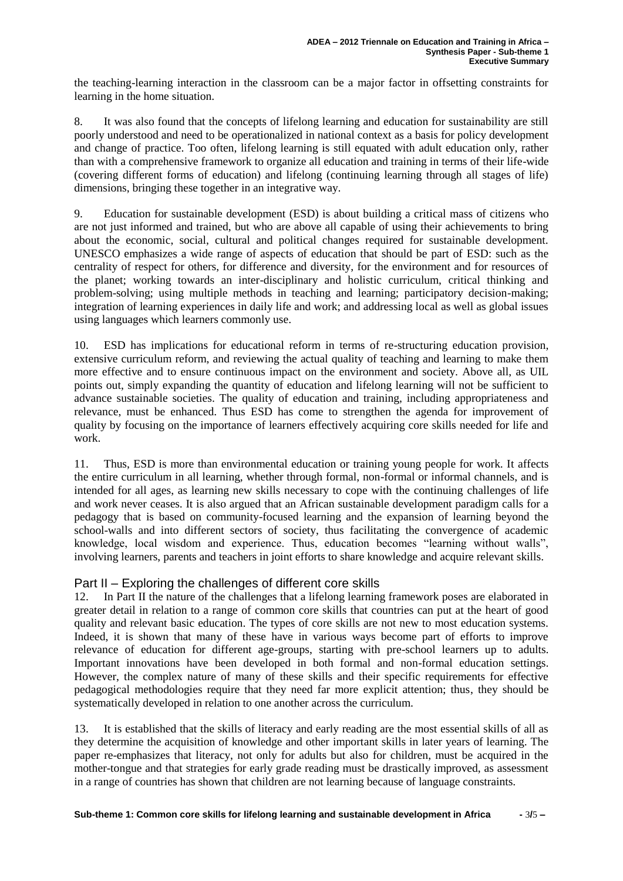the teaching-learning interaction in the classroom can be a major factor in offsetting constraints for learning in the home situation.

8. It was also found that the concepts of lifelong learning and education for sustainability are still poorly understood and need to be operationalized in national context as a basis for policy development and change of practice. Too often, lifelong learning is still equated with adult education only, rather than with a comprehensive framework to organize all education and training in terms of their life-wide (covering different forms of education) and lifelong (continuing learning through all stages of life) dimensions, bringing these together in an integrative way.

9. Education for sustainable development (ESD) is about building a critical mass of citizens who are not just informed and trained, but who are above all capable of using their achievements to bring about the economic, social, cultural and political changes required for sustainable development. UNESCO emphasizes a wide range of aspects of education that should be part of ESD: such as the centrality of respect for others, for difference and diversity, for the environment and for resources of the planet; working towards an inter-disciplinary and holistic curriculum, critical thinking and problem-solving; using multiple methods in teaching and learning; participatory decision-making; integration of learning experiences in daily life and work; and addressing local as well as global issues using languages which learners commonly use.

10. ESD has implications for educational reform in terms of re-structuring education provision, extensive curriculum reform, and reviewing the actual quality of teaching and learning to make them more effective and to ensure continuous impact on the environment and society. Above all, as UIL points out, simply expanding the quantity of education and lifelong learning will not be sufficient to advance sustainable societies. The quality of education and training, including appropriateness and relevance, must be enhanced. Thus ESD has come to strengthen the agenda for improvement of quality by focusing on the importance of learners effectively acquiring core skills needed for life and work.

11. Thus, ESD is more than environmental education or training young people for work. It affects the entire curriculum in all learning, whether through formal, non-formal or informal channels, and is intended for all ages, as learning new skills necessary to cope with the continuing challenges of life and work never ceases. It is also argued that an African sustainable development paradigm calls for a pedagogy that is based on community-focused learning and the expansion of learning beyond the school-walls and into different sectors of society, thus facilitating the convergence of academic knowledge, local wisdom and experience. Thus, education becomes "learning without walls", involving learners, parents and teachers in joint efforts to share knowledge and acquire relevant skills.

#### Part II – Exploring the challenges of different core skills

12. In Part II the nature of the challenges that a lifelong learning framework poses are elaborated in greater detail in relation to a range of common core skills that countries can put at the heart of good quality and relevant basic education. The types of core skills are not new to most education systems. Indeed, it is shown that many of these have in various ways become part of efforts to improve relevance of education for different age-groups, starting with pre-school learners up to adults. Important innovations have been developed in both formal and non-formal education settings. However, the complex nature of many of these skills and their specific requirements for effective pedagogical methodologies require that they need far more explicit attention; thus, they should be systematically developed in relation to one another across the curriculum.

13. It is established that the skills of literacy and early reading are the most essential skills of all as they determine the acquisition of knowledge and other important skills in later years of learning. The paper re-emphasizes that literacy, not only for adults but also for children, must be acquired in the mother-tongue and that strategies for early grade reading must be drastically improved, as assessment in a range of countries has shown that children are not learning because of language constraints.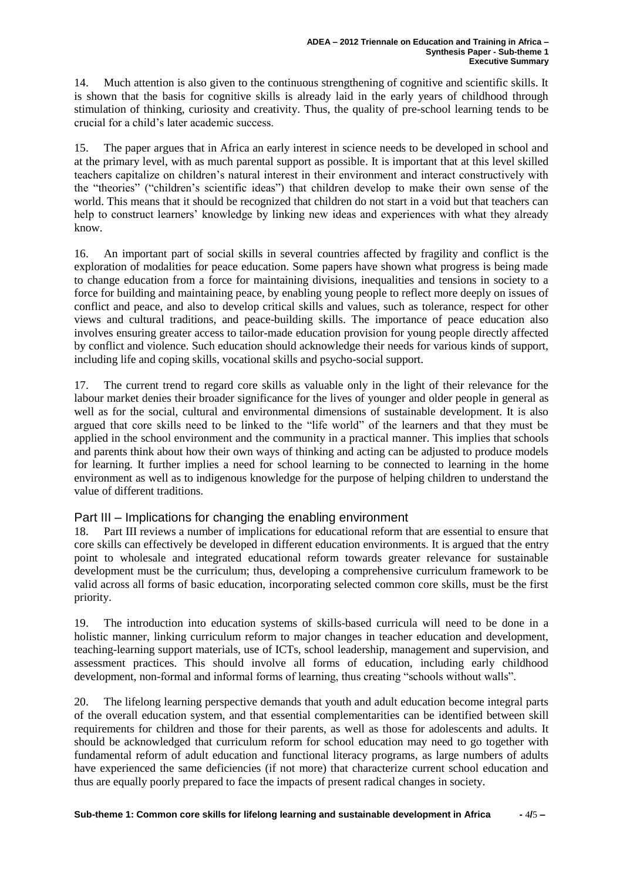14. Much attention is also given to the continuous strengthening of cognitive and scientific skills. It is shown that the basis for cognitive skills is already laid in the early years of childhood through stimulation of thinking, curiosity and creativity. Thus, the quality of pre-school learning tends to be crucial for a child's later academic success.

15. The paper argues that in Africa an early interest in science needs to be developed in school and at the primary level, with as much parental support as possible. It is important that at this level skilled teachers capitalize on children's natural interest in their environment and interact constructively with the "theories" ("children's scientific ideas") that children develop to make their own sense of the world. This means that it should be recognized that children do not start in a void but that teachers can help to construct learners' knowledge by linking new ideas and experiences with what they already know.

16. An important part of social skills in several countries affected by fragility and conflict is the exploration of modalities for peace education. Some papers have shown what progress is being made to change education from a force for maintaining divisions, inequalities and tensions in society to a force for building and maintaining peace, by enabling young people to reflect more deeply on issues of conflict and peace, and also to develop critical skills and values, such as tolerance, respect for other views and cultural traditions, and peace-building skills. The importance of peace education also involves ensuring greater access to tailor-made education provision for young people directly affected by conflict and violence. Such education should acknowledge their needs for various kinds of support, including life and coping skills, vocational skills and psycho-social support.

17. The current trend to regard core skills as valuable only in the light of their relevance for the labour market denies their broader significance for the lives of younger and older people in general as well as for the social, cultural and environmental dimensions of sustainable development. It is also argued that core skills need to be linked to the "life world" of the learners and that they must be applied in the school environment and the community in a practical manner. This implies that schools and parents think about how their own ways of thinking and acting can be adjusted to produce models for learning. It further implies a need for school learning to be connected to learning in the home environment as well as to indigenous knowledge for the purpose of helping children to understand the value of different traditions.

#### Part III – Implications for changing the enabling environment

18. Part III reviews a number of implications for educational reform that are essential to ensure that core skills can effectively be developed in different education environments. It is argued that the entry point to wholesale and integrated educational reform towards greater relevance for sustainable development must be the curriculum; thus, developing a comprehensive curriculum framework to be valid across all forms of basic education, incorporating selected common core skills, must be the first priority.

19. The introduction into education systems of skills-based curricula will need to be done in a holistic manner, linking curriculum reform to major changes in teacher education and development, teaching-learning support materials, use of ICTs, school leadership, management and supervision, and assessment practices. This should involve all forms of education, including early childhood development, non-formal and informal forms of learning, thus creating "schools without walls".

20. The lifelong learning perspective demands that youth and adult education become integral parts of the overall education system, and that essential complementarities can be identified between skill requirements for children and those for their parents, as well as those for adolescents and adults. It should be acknowledged that curriculum reform for school education may need to go together with fundamental reform of adult education and functional literacy programs, as large numbers of adults have experienced the same deficiencies (if not more) that characterize current school education and thus are equally poorly prepared to face the impacts of present radical changes in society.